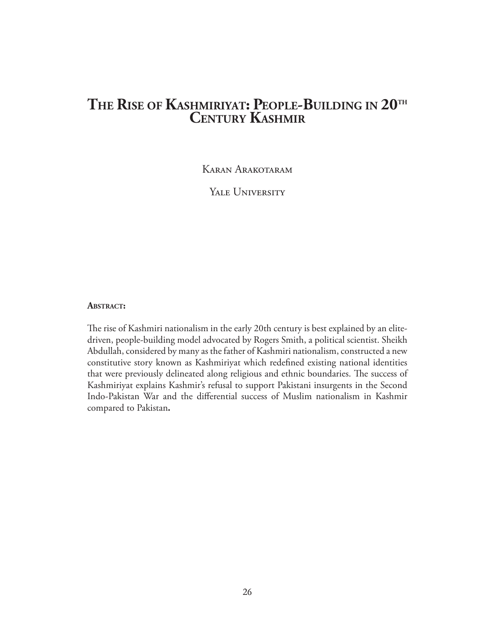# **The Rise of Kashmiriyat: People-Building in 20th CENTURY KASHMI**

Karan Arakotaram

YALE UNIVERSITY

## **Abstract:**

The rise of Kashmiri nationalism in the early 20th century is best explained by an elitedriven, people-building model advocated by Rogers Smith, a political scientist. Sheikh Abdullah, considered by many as the father of Kashmiri nationalism, constructed a new constitutive story known as Kashmiriyat which redefined existing national identities that were previously delineated along religious and ethnic boundaries. The success of Kashmiriyat explains Kashmir's refusal to support Pakistani insurgents in the Second Indo-Pakistan War and the differential success of Muslim nationalism in Kashmir compared to Pakistan**.**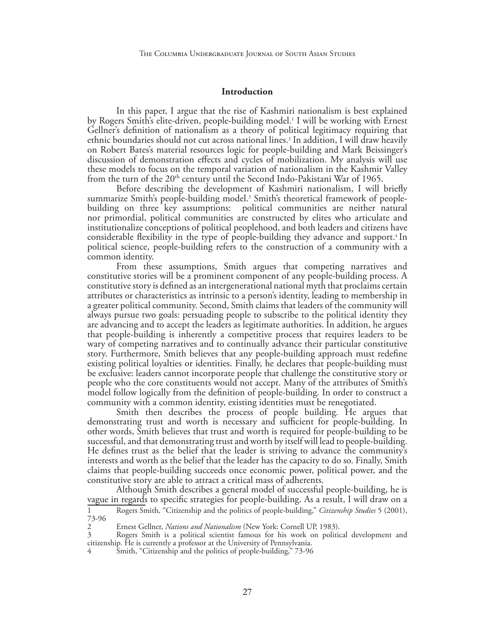#### **Introduction**

In this paper, I argue that the rise of Kashmiri nationalism is best explained by Rogers Smith's elite-driven, people-building model.<sup>1</sup> I will be working with Ernest Gellner's definition of nationalism as a theory of political legitimacy requiring that ethnic boundaries should not cut across national lines.2 In addition, I will draw heavily on Robert Bates's material resources logic for people-building and Mark Beissinger's discussion of demonstration effects and cycles of mobilization. My analysis will use these models to focus on the temporal variation of nationalism in the Kashmir Valley from the turn of the  $20<sup>th</sup>$  century until the Second Indo-Pakistani War of 1965.

Before describing the development of Kashmiri nationalism, I will briefly summarize Smith's people-building model.<sup>3</sup> Smith's theoretical framework of peoplebuilding on three key assumptions: political communities are neither natural nor primordial, political communities are constructed by elites who articulate and institutionalize conceptions of political peoplehood, and both leaders and citizens have considerable flexibility in the type of people-building they advance and support.4 In political science, people-building refers to the construction of a community with a common identity.

From these assumptions, Smith argues that competing narratives and constitutive stories will be a prominent component of any people-building process. A constitutive story is defined as an intergenerational national myth that proclaims certain attributes or characteristics as intrinsic to a person's identity, leading to membership in a greater political community. Second, Smith claims that leaders of the community will always pursue two goals: persuading people to subscribe to the political identity they are advancing and to accept the leaders as legitimate authorities. In addition, he argues that people-building is inherently a competitive process that requires leaders to be wary of competing narratives and to continually advance their particular constitutive story. Furthermore, Smith believes that any people-building approach must redefine existing political loyalties or identities. Finally, he declares that people-building must be exclusive: leaders cannot incorporate people that challenge the constitutive story or people who the core constituents would not accept. Many of the attributes of Smith's model follow logically from the definition of people-building. In order to construct a community with a common identity, existing identities must be renegotiated.

Smith then describes the process of people building. He argues that demonstrating trust and worth is necessary and sufficient for people-building. In other words, Smith believes that trust and worth is required for people-building to be successful, and that demonstrating trust and worth by itself will lead to people-building. He defines trust as the belief that the leader is striving to advance the community's interests and worth as the belief that the leader has the capacity to do so. Finally, Smith claims that people-building succeeds once economic power, political power, and the constitutive story are able to attract a critical mass of adherents.

Although Smith describes a general model of successful people-building, he is vague in regards to specific strategies for people-building. As a result, I will draw on a

<sup>1</sup> Rogers Smith, "Citizenship and the politics of people-building," *Citizenship Studies* 5 (2001), 73-96

<sup>2</sup> Ernest Gellner, *Nations and Nationalism* (New York: Cornell UP, 1983).

<sup>3</sup> Rogers Smith is a political scientist famous for his work on political development and citizenship. He is currently a professor at the University of Pennsylvania.

Smith, "Citizenship and the politics of people-building," 73-96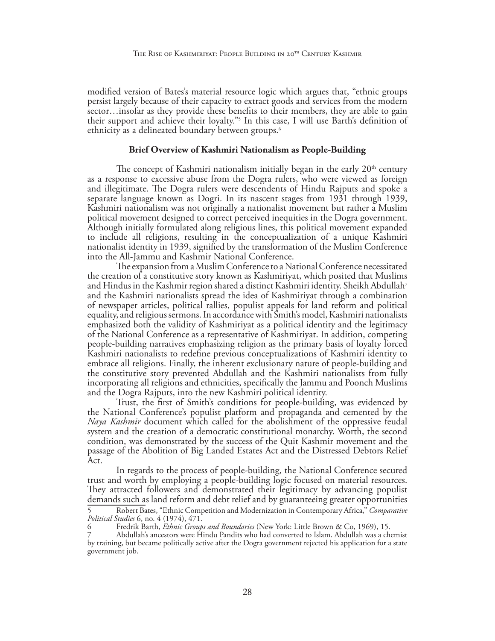modified version of Bates's material resource logic which argues that, "ethnic groups persist largely because of their capacity to extract goods and services from the modern sector…insofar as they provide these benefits to their members, they are able to gain their support and achieve their loyalty."5 In this case, I will use Barth's definition of ethnicity as a delineated boundary between groups.6

#### **Brief Overview of Kashmiri Nationalism as People-Building**

The concept of Kashmiri nationalism initially began in the early  $20<sup>th</sup>$  century as a response to excessive abuse from the Dogra rulers, who were viewed as foreign and illegitimate. The Dogra rulers were descendents of Hindu Rajputs and spoke a separate language known as Dogri. In its nascent stages from 1931 through 1939, Kashmiri nationalism was not originally a nationalist movement but rather a Muslim political movement designed to correct perceived inequities in the Dogra government. Although initially formulated along religious lines, this political movement expanded to include all religions, resulting in the conceptualization of a unique Kashmiri nationalist identity in 1939, signified by the transformation of the Muslim Conference into the All-Jammu and Kashmir National Conference.

The expansion from a Muslim Conference to a National Conference necessitated the creation of a constitutive story known as Kashmiriyat, which posited that Muslims and Hindus in the Kashmir region shared a distinct Kashmiri identity. Sheikh Abdullah7 and the Kashmiri nationalists spread the idea of Kashmiriyat through a combination of newspaper articles, political rallies, populist appeals for land reform and political equality, and religious sermons. In accordance with Smith's model, Kashmiri nationalists emphasized both the validity of Kashmiriyat as a political identity and the legitimacy of the National Conference as a representative of Kashmiriyat. In addition, competing people-building narratives emphasizing religion as the primary basis of loyalty forced Kashmiri nationalists to redefine previous conceptualizations of Kashmiri identity to embrace all religions. Finally, the inherent exclusionary nature of people-building and the constitutive story prevented Abdullah and the Kashmiri nationalists from fully incorporating all religions and ethnicities, specifically the Jammu and Poonch Muslims and the Dogra Rajputs, into the new Kashmiri political identity.

Trust, the first of Smith's conditions for people-building, was evidenced by the National Conference's populist platform and propaganda and cemented by the *Naya Kashmir* document which called for the abolishment of the oppressive feudal system and the creation of a democratic constitutional monarchy. Worth, the second condition, was demonstrated by the success of the Quit Kashmir movement and the passage of the Abolition of Big Landed Estates Act and the Distressed Debtors Relief Act.

In regards to the process of people-building, the National Conference secured trust and worth by employing a people-building logic focused on material resources. They attracted followers and demonstrated their legitimacy by advancing populist demands such as land reform and debt relief and by guaranteeing greater opportunities

<sup>5</sup> Robert Bates, "Ethnic Competition and Modernization in Contemporary Africa," *Comparative Political Studies* 6, no. 4 (1974), 471.

<sup>6</sup> Fredrik Barth, *Ethnic Groups and Boundaries* (New York: Little Brown & Co, 1969), 15.

<sup>7</sup> Abdullah's ancestors were Hindu Pandits who had converted to Islam. Abdullah was a chemist by training, but became politically active after the Dogra government rejected his application for a state government job.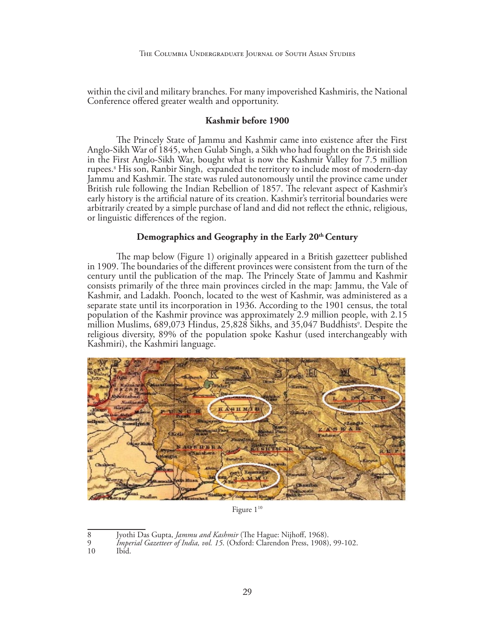within the civil and military branches. For many impoverished Kashmiris, the National Conference offered greater wealth and opportunity.

## **Kashmir before 1900**

The Princely State of Jammu and Kashmir came into existence after the First Anglo-Sikh War of 1845, when Gulab Singh, a Sikh who had fought on the British side in the First Anglo-Sikh War, bought what is now the Kashmir Valley for 7.5 million rupees.8 His son, Ranbir Singh, expanded the territory to include most of modern-day Jammu and Kashmir. The state was ruled autonomously until the province came under British rule following the Indian Rebellion of 1857. The relevant aspect of Kashmir's early history is the artificial nature of its creation. Kashmir's territorial boundaries were arbitrarily created by a simple purchase of land and did not reflect the ethnic, religious, or linguistic differences of the region.

## **Demographics and Geography in the Early 20th Century**

The map below (Figure 1) originally appeared in a British gazetteer published in 1909. The boundaries of the different provinces were consistent from the turn of the century until the publication of the map. The Princely State of Jammu and Kashmir consists primarily of the three main provinces circled in the map: Jammu, the Vale of Kashmir, and Ladakh. Poonch, located to the west of Kashmir, was administered as a separate state until its incorporation in 1936. According to the 1901 census, the total population of the Kashmir province was approximately 2.9 million people, with 2.15 million Muslims, 689,073 Hindus, 25,828 Sikhs, and 35,047 Buddhists°. Despite the religious diversity, 89% of the population spoke Kashur (used interchangeably with Kashmiri), the Kashmiri language.



Figure  $1^{10}$ 

<sup>8</sup> Jyothi Das Gupta, *Jammu and Kashmir* (The Hague: Nijhoff, 1968).

<sup>9</sup> *Imperial Gazetteer of India, vol. 15*. (Oxford: Clarendon Press, 1908), 99-102.

<sup>10</sup> Ibid.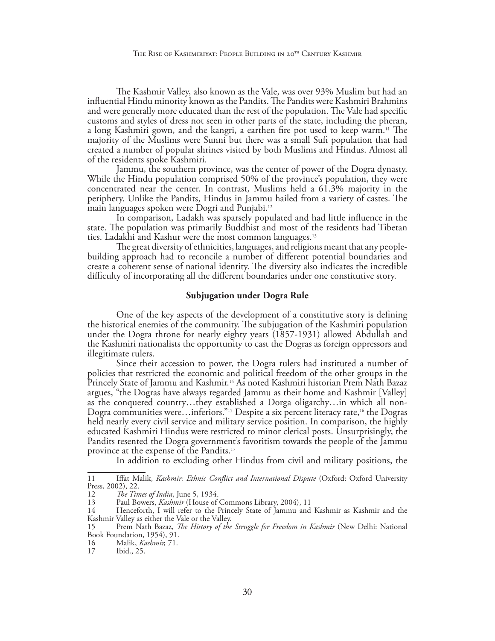The Kashmir Valley, also known as the Vale, was over 93% Muslim but had an influential Hindu minority known as the Pandits. The Pandits were Kashmiri Brahmins and were generally more educated than the rest of the population. The Vale had specific customs and styles of dress not seen in other parts of the state, including the pheran, a long Kashmiri gown, and the kangri, a earthen fire pot used to keep warm.11 The majority of the Muslims were Sunni but there was a small Sufi population that had created a number of popular shrines visited by both Muslims and Hindus. Almost all of the residents spoke Kashmiri.

Jammu, the southern province, was the center of power of the Dogra dynasty. While the Hindu population comprised 50% of the province's population, they were concentrated near the center. In contrast, Muslims held a 61.3% majority in the periphery. Unlike the Pandits, Hindus in Jammu hailed from a variety of castes. The main languages spoken were Dogri and Punjabi.12

In comparison, Ladakh was sparsely populated and had little influence in the state. The population was primarily Buddhist and most of the residents had Tibetan ties. Ladakhi and Kashur were the most common languages.13

The great diversity of ethnicities, languages, and religions meant that any peoplebuilding approach had to reconcile a number of different potential boundaries and create a coherent sense of national identity. The diversity also indicates the incredible difficulty of incorporating all the different boundaries under one constitutive story.

## **Subjugation under Dogra Rule**

One of the key aspects of the development of a constitutive story is defining the historical enemies of the community. The subjugation of the Kashmiri population under the Dogra throne for nearly eighty years (1857-1931) allowed Abdullah and the Kashmiri nationalists the opportunity to cast the Dogras as foreign oppressors and illegitimate rulers.

Since their accession to power, the Dogra rulers had instituted a number of policies that restricted the economic and political freedom of the other groups in the Princely State of Jammu and Kashmir.14 As noted Kashmiri historian Prem Nath Bazaz argues, "the Dogras have always regarded Jammu as their home and Kashmir [Valley] as the conquered country…they established a Dorga oligarchy…in which all non-Dogra communities were...inferiors."<sup>15</sup> Despite a six percent literacy rate,<sup>16</sup> the Dogras held nearly every civil service and military service position. In comparison, the highly educated Kashmiri Hindus were restricted to minor clerical posts. Unsurprisingly, the Pandits resented the Dogra government's favoritism towards the people of the Jammu province at the expense of the Pandits.<sup>17</sup>

In addition to excluding other Hindus from civil and military positions, the

<sup>11</sup> Iffat Malik, *Kashmir: Ethnic Conflict and International Dispute* (Oxford: Oxford University Press, 2002), 22.<br>12 The Tin

<sup>12</sup> *The Times of India*, June 5, 1934.<br>13 Paul Bowers, *Kashmir* (House of 0

<sup>13</sup> Paul Bowers, *Kashmir* (House of Commons Library, 2004), 11

<sup>14</sup> Henceforth, I will refer to the Princely State of Jammu and Kashmir as Kashmir and the Kashmir Valley as either the Vale or the Valley.

<sup>15</sup> Prem Nath Bazaz, *The History of the Struggle for Freedom in Kashmir* (New Delhi: National Book Foundation, 1954), 91.<br>16 Malik, *Kashmir*, 71.

<sup>16</sup> Malik, *Kashmir,* 71.

Ibid., 25.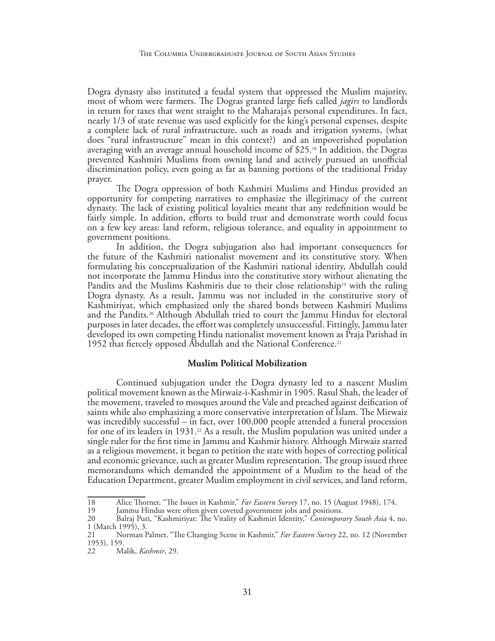Dogra dynasty also instituted a feudal system that oppressed the Muslim majority, most of whom were farmers. The Dogras granted large fiefs called *jagirs* to landlords in return for taxes that went straight to the Maharaja's personal expenditures. In fact, nearly 1/3 of state revenue was used explicitly for the king's personal expenses, despite a complete lack of rural infrastructure, such as roads and irrigation systems, (what does "rural infrastructure" mean in this context?) and an impoverished population averaging with an average annual household income of \$25.18 In addition, the Dogras prevented Kashmiri Muslims from owning land and actively pursued an unofficial discrimination policy, even going as far as banning portions of the traditional Friday prayer.

The Dogra oppression of both Kashmiri Muslims and Hindus provided an opportunity for competing narratives to emphasize the illegitimacy of the current dynasty. The lack of existing political loyalties meant that any redefinition would be fairly simple. In addition, efforts to build trust and demonstrate worth could focus on a few key areas: land reform, religious tolerance, and equality in appointment to government positions.

In addition, the Dogra subjugation also had important consequences for the future of the Kashmiri nationalist movement and its constitutive story. When formulating his conceptualization of the Kashmiri national identity, Abdullah could not incorporate the Jammu Hindus into the constitutive story without alienating the Pandits and the Muslims Kashmiris due to their close relationship<sup>19</sup> with the ruling Dogra dynasty. As a result, Jammu was not included in the constitutive story of Kashmiriyat, which emphasized only the shared bonds between Kashmiri Muslims and the Pandits.20 Although Abdullah tried to court the Jammu Hindus for electoral purposes in later decades, the effort was completely unsuccessful. Fittingly, Jammu later developed its own competing Hindu nationalist movement known as Praja Parishad in 1952 that fiercely opposed Abdullah and the National Conference.<sup>21</sup>

## **Muslim Political Mobilization**

Continued subjugation under the Dogra dynasty led to a nascent Muslim political movement known as the Mirwaiz-i-Kashmir in 1905. Rasul Shah, the leader of the movement, traveled to mosques around the Vale and preached against deification of saints while also emphasizing a more conservative interpretation of Islam. The Mirwaiz was incredibly successful – in fact, over 100,000 people attended a funeral procession for one of its leaders in 1931.<sup>22</sup> As a result, the Muslim population was united under a single ruler for the first time in Jammu and Kashmir history. Although Mirwaiz started as a religious movement, it began to petition the state with hopes of correcting political and economic grievance, such as greater Muslim representation. The group issued three memorandums which demanded the appointment of a Muslim to the head of the Education Department, greater Muslim employment in civil services, and land reform,

<sup>18</sup> Alice Thorner, "The Issues in Kashmir," *Far Eastern Survey* 17, no. 15 (August 1948), 174.<br>19 Iammu Hindus were often given coveted government iobs and positions.

<sup>19</sup> Jammu Hindus were often given coveted government jobs and positions.<br>20 Balraj Puri, "Kashmiriyat: The Vitality of Kashmiri Identity," *Contempor* 

<sup>20</sup> Balraj Puri, "Kashmiriyat: The Vitality of Kashmiri Identity," *Contemporary South Asia* 4, no. 1 (March 1995), 3.

<sup>21</sup> Norman Palmer, "The Changing Scene in Kashmir," *Far Eastern Survey* 22, no. 12 (November 1953), 159.

<sup>22</sup> Malik, *Kashmir*, 29.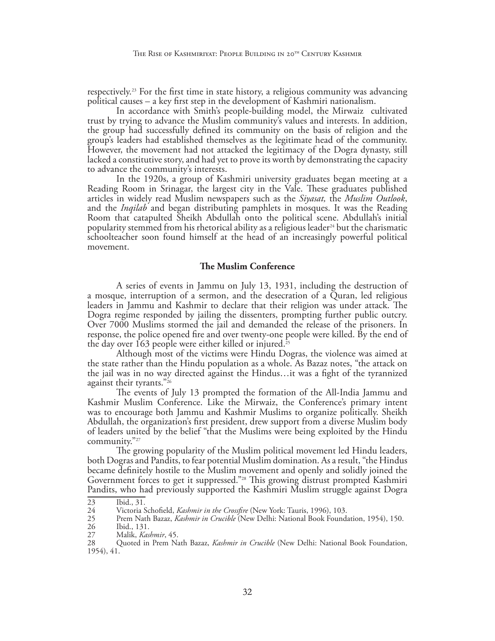respectively.23 For the first time in state history, a religious community was advancing political causes – a key first step in the development of Kashmiri nationalism.

In accordance with Smith's people-building model, the Mirwaiz cultivated trust by trying to advance the Muslim community's values and interests. In addition, the group had successfully defined its community on the basis of religion and the group's leaders had established themselves as the legitimate head of the community. However, the movement had not attacked the legitimacy of the Dogra dynasty, still lacked a constitutive story, and had yet to prove its worth by demonstrating the capacity to advance the community's interests.

In the 1920s, a group of Kashmiri university graduates began meeting at a Reading Room in Srinagar, the largest city in the Vale. These graduates published articles in widely read Muslim newspapers such as the *Siyasat,* the *Muslim Outlook*, and the *Inqilab* and began distributing pamphlets in mosques. It was the Reading Room that catapulted Sheikh Abdullah onto the political scene. Abdullah's initial popularity stemmed from his rhetorical ability as a religious leader<sup>24</sup> but the charismatic schoolteacher soon found himself at the head of an increasingly powerful political movement.

## **The Muslim Conference**

A series of events in Jammu on July 13, 1931, including the destruction of a mosque, interruption of a sermon, and the desecration of a Quran, led religious leaders in Jammu and Kashmir to declare that their religion was under attack. The Dogra regime responded by jailing the dissenters, prompting further public outcry. Over 7000 Muslims stormed the jail and demanded the release of the prisoners. In response, the police opened fire and over twenty-one people were killed. By the end of the day over 163 people were either killed or injured.<sup>25</sup>

Although most of the victims were Hindu Dogras, the violence was aimed at the state rather than the Hindu population as a whole. As Bazaz notes, "the attack on the jail was in no way directed against the Hindus…it was a fight of the tyrannized against their tyrants."26

The events of July 13 prompted the formation of the All-India Jammu and Kashmir Muslim Conference. Like the Mirwaiz, the Conference's primary intent was to encourage both Jammu and Kashmir Muslims to organize politically. Sheikh Abdullah, the organization's first president, drew support from a diverse Muslim body of leaders united by the belief "that the Muslims were being exploited by the Hindu community."<sup>27</sup>

The growing popularity of the Muslim political movement led Hindu leaders, both Dogras and Pandits, to fear potential Muslim domination. As a result, "the Hindus became definitely hostile to the Muslim movement and openly and solidly joined the Government forces to get it suppressed."28 This growing distrust prompted Kashmiri Pandits, who had previously supported the Kashmiri Muslim struggle against Dogra

<sup>23</sup> Ibid., 31.<br>24 Victoria S

<sup>24</sup> Victoria Schofield, *Kashmir in the Crossfire* (New York: Tauris, 1996), 103.

<sup>25</sup> Prem Nath Bazaz, *Kashmir in Crucible* (New Delhi: National Book Foundation, 1954), 150.

<sup>26</sup> Ibid., 131.<br>27 Malik. *Kas*.

<sup>27</sup> Malik, *Kashmir*, 45.

<sup>28</sup> Quoted in Prem Nath Bazaz, *Kashmir in Crucible* (New Delhi: National Book Foundation, 1954), 41.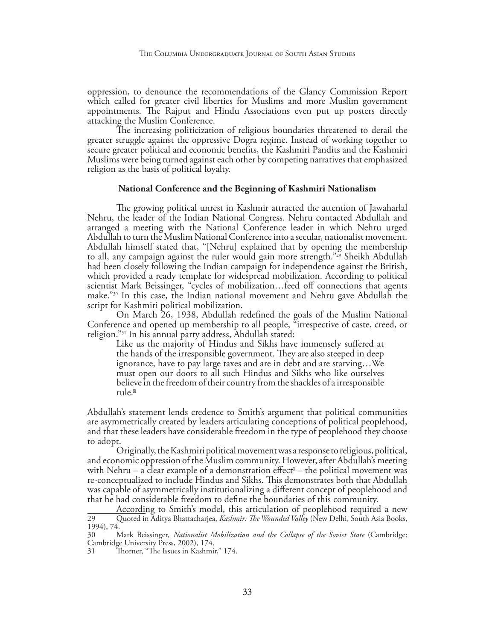oppression, to denounce the recommendations of the Glancy Commission Report which called for greater civil liberties for Muslims and more Muslim government appointments. The Rajput and Hindu Associations even put up posters directly attacking the Muslim Conference.

The increasing politicization of religious boundaries threatened to derail the greater struggle against the oppressive Dogra regime. Instead of working together to secure greater political and economic benefits, the Kashmiri Pandits and the Kashmiri Muslims were being turned against each other by competing narratives that emphasized religion as the basis of political loyalty.

## **National Conference and the Beginning of Kashmiri Nationalism**

The growing political unrest in Kashmir attracted the attention of Jawaharlal Nehru, the leader of the Indian National Congress. Nehru contacted Abdullah and arranged a meeting with the National Conference leader in which Nehru urged Abdullah to turn the Muslim National Conference into a secular, nationalist movement. Abdullah himself stated that, "[Nehru] explained that by opening the membership to all, any campaign against the ruler would gain more strength."<sup>29</sup> Sheikh Abdullah had been closely following the Indian campaign for independence against the British, which provided a ready template for widespread mobilization. According to political scientist Mark Beissinger, "cycles of mobilization...feed off connections that agents make."30 In this case, the Indian national movement and Nehru gave Abdullah the script for Kashmiri political mobilization.

On March 26, 1938, Abdullah redefined the goals of the Muslim National Conference and opened up membership to all people, "irrespective of caste, creed, or religion."31 In his annual party address, Abdullah stated:

Like us the majority of Hindus and Sikhs have immensely suffered at the hands of the irresponsible government. They are also steeped in deep ignorance, have to pay large taxes and are in debt and are starving…We must open our doors to all such Hindus and Sikhs who like ourselves believe in the freedom of their country from the shackles of a irresponsible rule.

Abdullah's statement lends credence to Smith's argument that political communities are asymmetrically created by leaders articulating conceptions of political peoplehood, and that these leaders have considerable freedom in the type of peoplehood they choose to adopt.

Originally, the Kashmiri political movement was a response to religious, political, and economic oppression of the Muslim community. However, after Abdullah's meeting with Nehru – a clear example of a demonstration effect – the political movement was re-conceptualized to include Hindus and Sikhs. This demonstrates both that Abdullah was capable of asymmetrically institutionalizing a different concept of peoplehood and that he had considerable freedom to define the boundaries of this community.

According to Smith's model, this articulation of peoplehood required a new 29 Quoted in Aditya Bhattacharjea, *Kashmir: The Wounded Valley* (New Delhi, South Asia Books, 1994), 74.

<sup>30</sup> Mark Beissinger*, Nationalist Mobilization and the Collapse of the Soviet State* (Cambridge: Cambridge University Press, 2002), 174.

<sup>31</sup> Thorner, "The Issues in Kashmir," 174.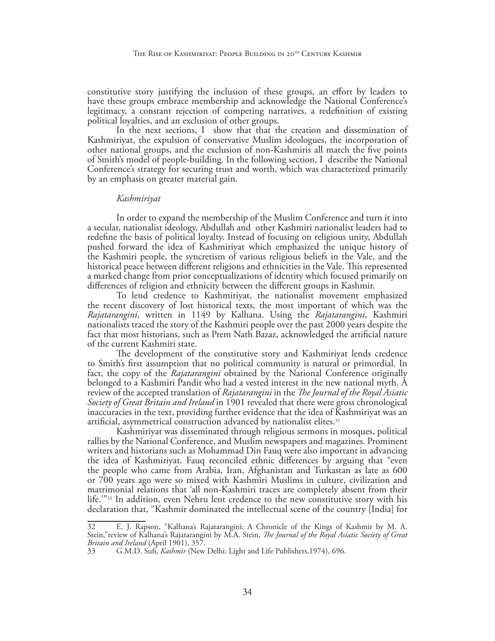constitutive story justifying the inclusion of these groups, an effort by leaders to have these groups embrace membership and acknowledge the National Conference's legitimacy, a constant rejection of competing narratives, a redefinition of existing political loyalties, and an exclusion of other groups.

In the next sections, I show that that the creation and dissemination of Kashmiriyat, the expulsion of conservative Muslim ideologues, the incorporation of other national groups, and the exclusion of non-Kashmiris all match the five points of Smith's model of people-building. In the following section, I describe the National Conference's strategy for securing trust and worth, which was characterized primarily by an emphasis on greater material gain.

#### *Kashmiriyat*

In order to expand the membership of the Muslim Conference and turn it into a secular, nationalist ideology, Abdullah and other Kashmiri nationalist leaders had to redefine the basis of political loyalty. Instead of focusing on religious unity, Abdullah pushed forward the idea of Kashmiriyat which emphasized the unique history of the Kashmiri people, the syncretism of various religious beliefs in the Vale, and the historical peace between different religions and ethnicities in the Vale. This represented a marked change from prior conceptualizations of identity which focused primarily on differences of religion and ethnicity between the different groups in Kashmir.

To lend credence to Kashmiriyat, the nationalist movement emphasized the recent discovery of lost historical texts, the most important of which was the *Rajatarangini*, written in 1149 by Kalhana. Using the *Rajatarangini*, Kashmiri nationalists traced the story of the Kashmiri people over the past 2000 years despite the fact that most historians, such as Prem Nath Bazaz, acknowledged the artificial nature of the current Kashmiri state.

The development of the constitutive story and Kashmiriyat lends credence to Smith's first assumption that no political community is natural or primordial. In fact, the copy of the *Rajatarangini* obtained by the National Conference originally belonged to a Kashmiri Pandit who had a vested interest in the new national myth. A review of the accepted translation of *Rajatarangini* in the *The Journal of the Royal Asiatic Society of Great Britain and Ireland* in 1901 revealed that there were gross chronological inaccuracies in the text, providing further evidence that the idea of Kashmiriyat was an artificial, asymmetrical construction advanced by nationalist elites.<sup>32</sup>

Kashmiriyat was disseminated through religious sermons in mosques, political rallies by the National Conference, and Muslim newspapers and magazines. Prominent writers and historians such as Mohammad Din Fauq were also important in advancing the idea of Kashmiriyat. Fauq reconciled ethnic differences by arguing that "even the people who came from Arabia, Iran, Afghanistan and Turkastan as late as 600 or 700 years ago were so mixed with Kashmiri Muslims in culture, civilization and matrimonial relations that 'all non-Kashmiri traces are completely absent from their life.'"33 In addition, even Nehru lent credence to the new constitutive story with his declaration that, "Kashmir dominated the intellectual scene of the country [India] for

<sup>32</sup> E. J. Rapson, "Kalhana's Rajatarangini: A Chronicle of the Kings of Kashmir by M. A. Stein,"review of Kalhana's Rajatarangini by M.A. Stein, *The Journal of the Royal Asiatic Society of Great Britain and Ireland* (April 1901), 357.<br>33 G.M.D. Sufi, *Kashmir* (New

<sup>33</sup> G.M.D. Sufi, *Kashmir* (New Delhi: Light and Life Publishers,1974), 696.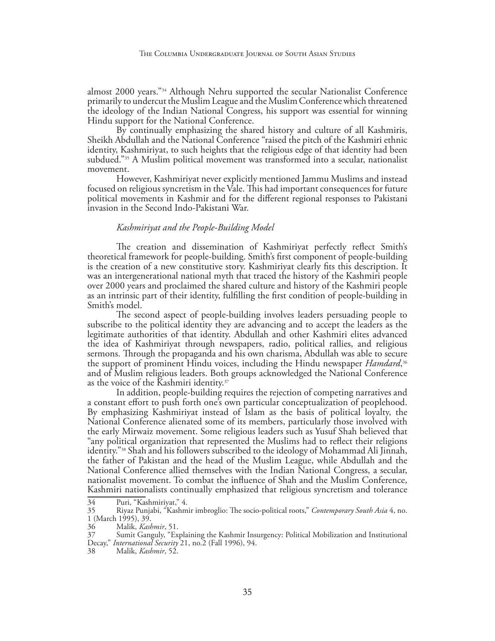almost 2000 years."34 Although Nehru supported the secular Nationalist Conference primarily to undercut the Muslim League and the Muslim Conference which threatened the ideology of the Indian National Congress, his support was essential for winning Hindu support for the National Conference.

By continually emphasizing the shared history and culture of all Kashmiris, Sheikh Abdullah and the National Conference "raised the pitch of the Kashmiri ethnic identity, Kashmiriyat, to such heights that the religious edge of that identity had been subdued."35 A Muslim political movement was transformed into a secular, nationalist movement.

However, Kashmiriyat never explicitly mentioned Jammu Muslims and instead focused on religious syncretism in the Vale. This had important consequences for future political movements in Kashmir and for the different regional responses to Pakistani invasion in the Second Indo-Pakistani War.

## *Kashmiriyat and the People-Building Model*

The creation and dissemination of Kashmiriyat perfectly reflect Smith's theoretical framework for people-building. Smith's first component of people-building is the creation of a new constitutive story. Kashmiriyat clearly fits this description. It was an intergenerational national myth that traced the history of the Kashmiri people over 2000 years and proclaimed the shared culture and history of the Kashmiri people as an intrinsic part of their identity, fulfilling the first condition of people-building in Smith's model.

The second aspect of people-building involves leaders persuading people to subscribe to the political identity they are advancing and to accept the leaders as the legitimate authorities of that identity. Abdullah and other Kashmiri elites advanced the idea of Kashmiriyat through newspapers, radio, political rallies, and religious sermons. Through the propaganda and his own charisma, Abdullah was able to secure the support of prominent Hindu voices, including the Hindu newspaper *Hamdard*, 36 and of Muslim religious leaders. Both groups acknowledged the National Conference as the voice of the Kashmiri identity.37

In addition, people-building requires the rejection of competing narratives and a constant effort to push forth one's own particular conceptualization of peoplehood. By emphasizing Kashmiriyat instead of Islam as the basis of political loyalty, the National Conference alienated some of its members, particularly those involved with the early Mirwaiz movement. Some religious leaders such as Yusuf Shah believed that "any political organization that represented the Muslims had to reflect their religions identity."38 Shah and his followers subscribed to the ideology of Mohammad Ali Jinnah, the father of Pakistan and the head of the Muslim League, while Abdullah and the National Conference allied themselves with the Indian National Congress, a secular, nationalist movement. To combat the influence of Shah and the Muslim Conference, Kashmiri nationalists continually emphasized that religious syncretism and tolerance

<sup>34</sup> Puri, "Kashmiriyat," 4.<br>35 Riyaz Punjabi, "Kashm

<sup>35</sup> Riyaz Punjabi, "Kashmir imbroglio: The socio-political roots," *Contemporary South Asia* 4, no. 1 (March 1995), 39.<br>36 Malik, *Kasl* 

<sup>36</sup> Malik, *Kashmir*, 51.

Sumit Ganguly, "Explaining the Kashmir Insurgency: Political Mobilization and Institutional Decay," *International Security* 21, no.2 (Fall 1996), 94.

<sup>38</sup> Malik, *Kashmir*, 52.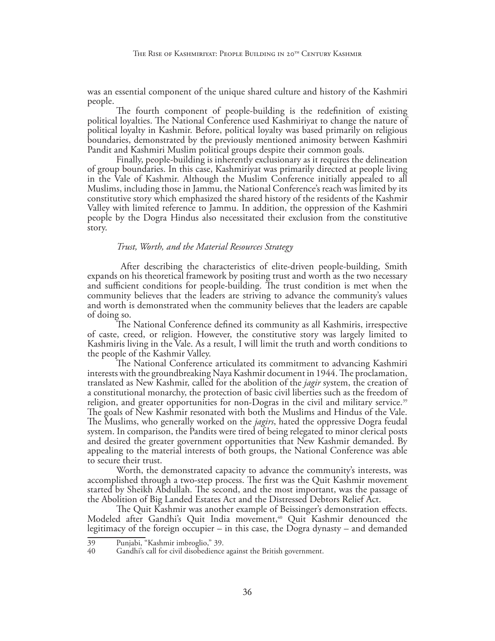was an essential component of the unique shared culture and history of the Kashmiri people.

The fourth component of people-building is the redefinition of existing political loyalties. The National Conference used Kashmiriyat to change the nature of political loyalty in Kashmir. Before, political loyalty was based primarily on religious boundaries, demonstrated by the previously mentioned animosity between Kashmiri Pandit and Kashmiri Muslim political groups despite their common goals.

Finally, people-building is inherently exclusionary as it requires the delineation of group boundaries. In this case, Kashmiriyat was primarily directed at people living in the Vale of Kashmir. Although the Muslim Conference initially appealed to all Muslims, including those in Jammu, the National Conference's reach was limited by its constitutive story which emphasized the shared history of the residents of the Kashmir Valley with limited reference to Jammu. In addition, the oppression of the Kashmiri people by the Dogra Hindus also necessitated their exclusion from the constitutive story.

#### *Trust, Worth, and the Material Resources Strategy*

After describing the characteristics of elite-driven people-building, Smith expands on his theoretical framework by positing trust and worth as the two necessary and sufficient conditions for people-building. The trust condition is met when the community believes that the leaders are striving to advance the community's values and worth is demonstrated when the community believes that the leaders are capable of doing so.

The National Conference defined its community as all Kashmiris, irrespective of caste, creed, or religion. However, the constitutive story was largely limited to Kashmiris living in the Vale. As a result, I will limit the truth and worth conditions to the people of the Kashmir Valley.

The National Conference articulated its commitment to advancing Kashmiri interests with the groundbreaking Naya Kashmir document in 1944. The proclamation, translated as New Kashmir, called for the abolition of the *jagir* system, the creation of a constitutional monarchy, the protection of basic civil liberties such as the freedom of religion, and greater opportunities for non-Dogras in the civil and military service.<sup>39</sup> The goals of New Kashmir resonated with both the Muslims and Hindus of the Vale. The Muslims, who generally worked on the *jagirs*, hated the oppressive Dogra feudal system. In comparison, the Pandits were tired of being relegated to minor clerical posts and desired the greater government opportunities that New Kashmir demanded. By appealing to the material interests of both groups, the National Conference was able to secure their trust.

Worth, the demonstrated capacity to advance the community's interests, was accomplished through a two-step process. The first was the Quit Kashmir movement started by Sheikh Abdullah. The second, and the most important, was the passage of the Abolition of Big Landed Estates Act and the Distressed Debtors Relief Act.

The Quit Kashmir was another example of Beissinger's demonstration effects. Modeled after Gandhi's Quit India movement,<sup>40</sup> Quit Kashmir denounced the legitimacy of the foreign occupier – in this case, the Dogra dynasty – and demanded

<sup>39</sup> Punjabi, "Kashmir imbroglio," 39.

Gandhi's call for civil disobedience against the British government.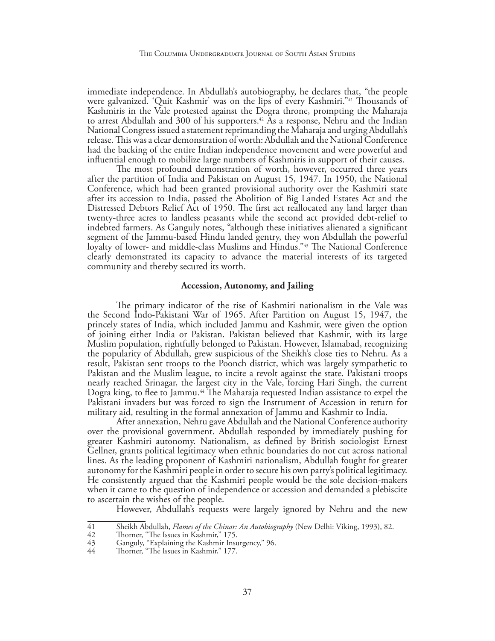immediate independence. In Abdullah's autobiography, he declares that, "the people were galvanized. 'Quit Kashmir' was on the lips of every Kashmiri."41 Thousands of Kashmiris in the Vale protested against the Dogra throne, prompting the Maharaja to arrest Abdullah and 300 of his supporters.<sup>42</sup> As a response, Nehru and the Indian National Congress issued a statement reprimanding the Maharaja and urging Abdullah's release. This was a clear demonstration of worth: Abdullah and the National Conference had the backing of the entire Indian independence movement and were powerful and influential enough to mobilize large numbers of Kashmiris in support of their causes.

The most profound demonstration of worth, however, occurred three years after the partition of India and Pakistan on August 15, 1947. In 1950, the National Conference, which had been granted provisional authority over the Kashmiri state after its accession to India, passed the Abolition of Big Landed Estates Act and the Distressed Debtors Relief Act of 1950. The first act reallocated any land larger than twenty-three acres to landless peasants while the second act provided debt-relief to indebted farmers. As Ganguly notes, "although these initiatives alienated a significant segment of the Jammu-based Hindu landed gentry, they won Abdullah the powerful loyalty of lower- and middle-class Muslims and Hindus."43 The National Conference clearly demonstrated its capacity to advance the material interests of its targeted community and thereby secured its worth.

## **Accession, Autonomy, and Jailing**

The primary indicator of the rise of Kashmiri nationalism in the Vale was the Second Indo-Pakistani War of 1965. After Partition on August 15, 1947, the princely states of India, which included Jammu and Kashmir, were given the option of joining either India or Pakistan. Pakistan believed that Kashmir, with its large Muslim population, rightfully belonged to Pakistan. However, Islamabad, recognizing the popularity of Abdullah, grew suspicious of the Sheikh's close ties to Nehru. As a result, Pakistan sent troops to the Poonch district, which was largely sympathetic to Pakistan and the Muslim league, to incite a revolt against the state. Pakistani troops nearly reached Srinagar, the largest city in the Vale, forcing Hari Singh, the current Dogra king, to flee to Jammu.<sup>44</sup> The Maharaja requested Indian assistance to expel the Pakistani invaders but was forced to sign the Instrument of Accession in return for military aid, resulting in the formal annexation of Jammu and Kashmir to India.

After annexation, Nehru gave Abdullah and the National Conference authority over the provisional government. Abdullah responded by immediately pushing for greater Kashmiri autonomy. Nationalism, as defined by British sociologist Ernest Gellner, grants political legitimacy when ethnic boundaries do not cut across national lines. As the leading proponent of Kashmiri nationalism, Abdullah fought for greater autonomy for the Kashmiri people in order to secure his own party's political legitimacy. He consistently argued that the Kashmiri people would be the sole decision-makers when it came to the question of independence or accession and demanded a plebiscite to ascertain the wishes of the people.

However, Abdullah's requests were largely ignored by Nehru and the new

<sup>41</sup> Sheikh Abdullah, *Flames of the Chinar: An Autobiography* (New Delhi: Viking, 1993), 82.

<sup>42</sup> Thorner, "The Issues in Kashmir," 175.<br>43 Ganguly, "Explaining the Kashmir Insu

<sup>43</sup> Ganguly, "Explaining the Kashmir Insurgency," 96.

<sup>44</sup> Thorner, "The Issues in Kashmir," 177.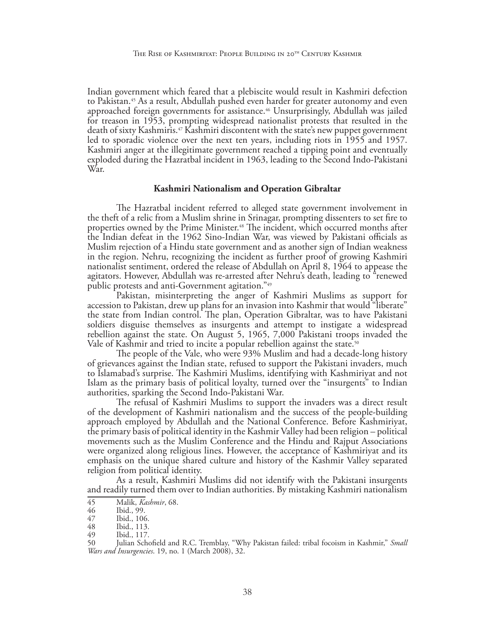Indian government which feared that a plebiscite would result in Kashmiri defection to Pakistan.45 As a result, Abdullah pushed even harder for greater autonomy and even approached foreign governments for assistance.46 Unsurprisingly, Abdullah was jailed for treason in 1953, prompting widespread nationalist protests that resulted in the death of sixty Kashmiris.47 Kashmiri discontent with the state's new puppet government led to sporadic violence over the next ten years, including riots in 1955 and 1957. Kashmiri anger at the illegitimate government reached a tipping point and eventually exploded during the Hazratbal incident in 1963, leading to the Second Indo-Pakistani War.

#### **Kashmiri Nationalism and Operation Gibraltar**

The Hazratbal incident referred to alleged state government involvement in the theft of a relic from a Muslim shrine in Srinagar, prompting dissenters to set fire to properties owned by the Prime Minister.48 The incident, which occurred months after the Indian defeat in the 1962 Sino-Indian War, was viewed by Pakistani officials as Muslim rejection of a Hindu state government and as another sign of Indian weakness in the region. Nehru, recognizing the incident as further proof of growing Kashmiri nationalist sentiment, ordered the release of Abdullah on April 8, 1964 to appease the agitators. However, Abdullah was re-arrested after Nehru's death, leading to "renewed public protests and anti-Government agitation."49

Pakistan, misinterpreting the anger of Kashmiri Muslims as support for accession to Pakistan, drew up plans for an invasion into Kashmir that would "liberate" the state from Indian control. The plan, Operation Gibraltar, was to have Pakistani soldiers disguise themselves as insurgents and attempt to instigate a widespread rebellion against the state. On August 5, 1965, 7,000 Pakistani troops invaded the Vale of Kashmir and tried to incite a popular rebellion against the state.<sup>50</sup>

The people of the Vale, who were 93% Muslim and had a decade-long history of grievances against the Indian state, refused to support the Pakistani invaders, much to Islamabad's surprise. The Kashmiri Muslims, identifying with Kashmiriyat and not Islam as the primary basis of political loyalty, turned over the "insurgents" to Indian authorities, sparking the Second Indo-Pakistani War.

The refusal of Kashmiri Muslims to support the invaders was a direct result of the development of Kashmiri nationalism and the success of the people-building approach employed by Abdullah and the National Conference. Before Kashmiriyat, the primary basis of political identity in the Kashmir Valley had been religion – political movements such as the Muslim Conference and the Hindu and Rajput Associations were organized along religious lines. However, the acceptance of Kashmiriyat and its emphasis on the unique shared culture and history of the Kashmir Valley separated religion from political identity.

As a result, Kashmiri Muslims did not identify with the Pakistani insurgents and readily turned them over to Indian authorities. By mistaking Kashmiri nationalism

<sup>45</sup> Malik, *Kashmir*, 68.

<sup>46</sup> Ibid., 99.<br>47 Ibid., 106

<sup>47</sup> Ibid., 106.<br>48 Ibid., 113.

<sup>48</sup> Ibid., 113.<br>49 Ibid., 117.

<sup>49</sup> Ibid., 117.

Julian Schofield and R.C. Tremblay, "Why Pakistan failed: tribal focoism in Kashmir," Small *Wars and Insurgencies*. 19, no. 1 (March 2008), 32.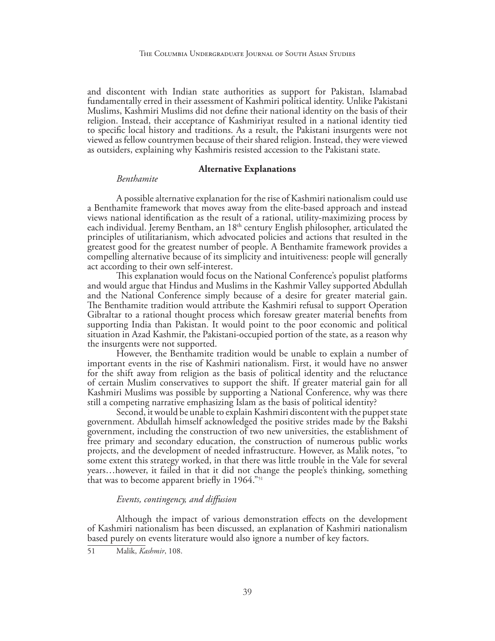and discontent with Indian state authorities as support for Pakistan, Islamabad fundamentally erred in their assessment of Kashmiri political identity. Unlike Pakistani Muslims, Kashmiri Muslims did not define their national identity on the basis of their religion. Instead, their acceptance of Kashmiriyat resulted in a national identity tied to specific local history and traditions. As a result, the Pakistani insurgents were not viewed as fellow countrymen because of their shared religion. Instead, they were viewed as outsiders, explaining why Kashmiris resisted accession to the Pakistani state.

## **Alternative Explanations**

### *Benthamite*

A possible alternative explanation for the rise of Kashmiri nationalism could use a Benthamite framework that moves away from the elite-based approach and instead views national identification as the result of a rational, utility-maximizing process by each individual. Jeremy Bentham, an 18<sup>th</sup> century English philosopher, articulated the principles of utilitarianism, which advocated policies and actions that resulted in the greatest good for the greatest number of people. A Benthamite framework provides a compelling alternative because of its simplicity and intuitiveness: people will generally act according to their own self-interest.

This explanation would focus on the National Conference's populist platforms and would argue that Hindus and Muslims in the Kashmir Valley supported Abdullah and the National Conference simply because of a desire for greater material gain. The Benthamite tradition would attribute the Kashmiri refusal to support Operation Gibraltar to a rational thought process which foresaw greater material benefits from supporting India than Pakistan. It would point to the poor economic and political situation in Azad Kashmir, the Pakistani-occupied portion of the state, as a reason why the insurgents were not supported.

However, the Benthamite tradition would be unable to explain a number of important events in the rise of Kashmiri nationalism. First, it would have no answer for the shift away from religion as the basis of political identity and the reluctance of certain Muslim conservatives to support the shift. If greater material gain for all Kashmiri Muslims was possible by supporting a National Conference, why was there still a competing narrative emphasizing Islam as the basis of political identity?

Second, it would be unable to explain Kashmiri discontent with the puppet state government. Abdullah himself acknowledged the positive strides made by the Bakshi government, including the construction of two new universities, the establishment of free primary and secondary education, the construction of numerous public works projects, and the development of needed infrastructure. However, as Malik notes, "to some extent this strategy worked, in that there was little trouble in the Vale for several years…however, it failed in that it did not change the people's thinking, something that was to become apparent briefly in 1964."51

## *Events, contingency, and diffusion*

Although the impact of various demonstration effects on the development of Kashmiri nationalism has been discussed, an explanation of Kashmiri nationalism based purely on events literature would also ignore a number of key factors.

51 Malik, *Kashmir*, 108.